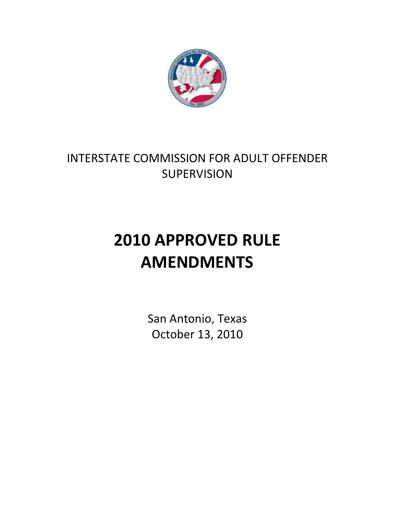

# INTERSTATE COMMISSION FOR ADULT OFFENDER **SUPERVISION**

# **2010 APPROVED RULE AMENDMENTS**

San Antonio, Texas October 13, 2010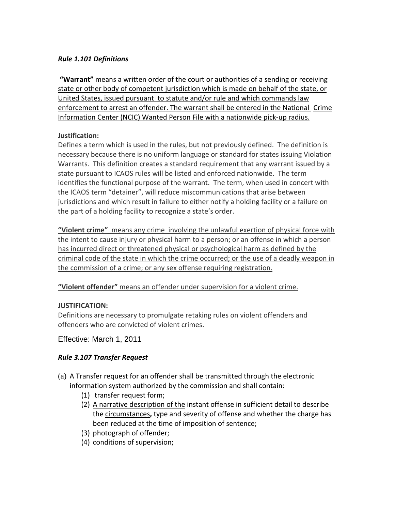#### *Rule 1.101 Definitions*

**"Warrant"** means a written order of the court or authorities of a sending or receiving state or other body of competent jurisdiction which is made on behalf of the state, or United States, issued pursuant to statute and/or rule and which commands law enforcement to arrest an offender. The warrant shall be entered in the National Crime Information Center (NCIC) Wanted Person File with a nationwide pick-up radius.

#### **Justification:**

Defines a term which is used in the rules, but not previously defined. The definition is necessary because there is no uniform language or standard for states issuing Violation Warrants. This definition creates a standard requirement that any warrant issued by a state pursuant to ICAOS rules will be listed and enforced nationwide. The term identifies the functional purpose of the warrant. The term, when used in concert with the ICAOS term "detainer", will reduce miscommunications that arise between jurisdictions and which result in failure to either notify a holding facility or a failure on the part of a holding facility to recognize a state's order.

**"Violent crime"** means any crime involving the unlawful exertion of physical force with the intent to cause injury or physical harm to a person; or an offense in which a person has incurred direct or threatened physical or psychological harm as defined by the criminal code of the state in which the crime occurred; or the use of a deadly weapon in the commission of a crime; or any sex offense requiring registration.

**"Violent offender"** means an offender under supervision for a violent crime.

# **JUSTIFICATION:**

Definitions are necessary to promulgate retaking rules on violent offenders and offenders who are convicted of violent crimes.

Effective: March 1, 2011

# *Rule 3.107 Transfer Request*

- (a) A Transfer request for an offender shall be transmitted through the electronic information system authorized by the commission and shall contain:
	- (1) transfer request form;
	- (2) A narrative description of the instant offense in sufficient detail to describe the circumstances**,** type and severity of offense and whether the charge has been reduced at the time of imposition of sentence;
	- (3) photograph of offender;
	- (4) conditions of supervision;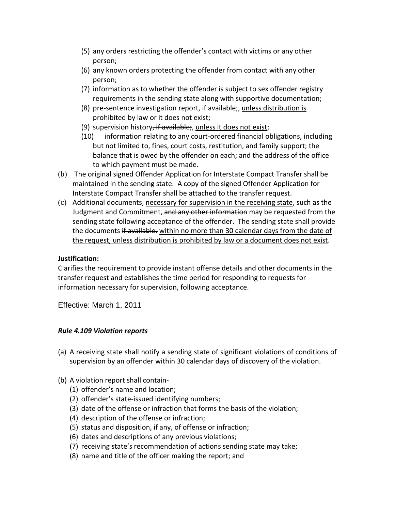- (5) any orders restricting the offender's contact with victims or any other person;
- (6) any known orders protecting the offender from contact with any other person;
- (7) information as to whether the offender is subject to sex offender registry requirements in the sending state along with supportive documentation;
- (8) pre-sentence investigation report, if available;, unless distribution is prohibited by law or it does not exist;
- (9) supervision history, if available;, unless it does not exist;
- (10) information relating to any court-ordered financial obligations, including but not limited to, fines, court costs, restitution, and family support; the balance that is owed by the offender on each; and the address of the office to which payment must be made.
- (b) The original signed Offender Application for Interstate Compact Transfer shall be maintained in the sending state. A copy of the signed Offender Application for Interstate Compact Transfer shall be attached to the transfer request.
- (c) Additional documents, necessary for supervision in the receiving state, such as the Judgment and Commitment, and any other information may be requested from the sending state following acceptance of the offender. The sending state shall provide the documents if available. within no more than 30 calendar days from the date of the request, unless distribution is prohibited by law or a document does not exist.

#### **Justification:**

Clarifies the requirement to provide instant offense details and other documents in the transfer request and establishes the time period for responding to requests for information necessary for supervision, following acceptance.

Effective: March 1, 2011

#### *Rule 4.109 Violation reports*

- (a) A receiving state shall notify a sending state of significant violations of conditions of supervision by an offender within 30 calendar days of discovery of the violation.
- (b) A violation report shall contain-
	- (1) offender's name and location;
	- (2) offender's state-issued identifying numbers;
	- (3) date of the offense or infraction that forms the basis of the violation;
	- (4) description of the offense or infraction;
	- (5) status and disposition, if any, of offense or infraction;
	- (6) dates and descriptions of any previous violations;
	- (7) receiving state's recommendation of actions sending state may take;
	- (8) name and title of the officer making the report; and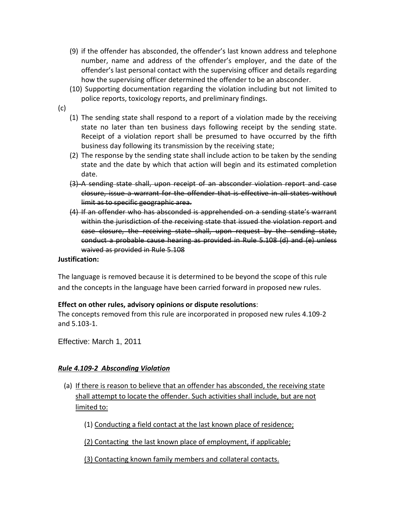- (9) if the offender has absconded, the offender's last known address and telephone number, name and address of the offender's employer, and the date of the offender's last personal contact with the supervising officer and details regarding how the supervising officer determined the offender to be an absconder.
- (10) Supporting documentation regarding the violation including but not limited to police reports, toxicology reports, and preliminary findings.
- (c)
- (1) The sending state shall respond to a report of a violation made by the receiving state no later than ten business days following receipt by the sending state. Receipt of a violation report shall be presumed to have occurred by the fifth business day following its transmission by the receiving state;
- (2) The response by the sending state shall include action to be taken by the sending state and the date by which that action will begin and its estimated completion date.
- (3) A sending state shall, upon receipt of an absconder violation report and case closure, issue a warrant for the offender that is effective in all states without limit as to specific geographic area.
- (4) If an offender who has absconded is apprehended on a sending state's warrant within the jurisdiction of the receiving state that issued the violation report and case closure, the receiving state shall, upon request by the sending state, conduct a probable cause hearing as provided in Rule 5.108 (d) and (e) unless waived as provided in Rule 5.108

#### **Justification:**

The language is removed because it is determined to be beyond the scope of this rule and the concepts in the language have been carried forward in proposed new rules.

#### **Effect on other rules, advisory opinions or dispute resolutions**:

The concepts removed from this rule are incorporated in proposed new rules 4.109-2 and 5.103-1.

Effective: March 1, 2011

#### *Rule 4.109-2 Absconding Violation*

- (a) If there is reason to believe that an offender has absconded, the receiving state shall attempt to locate the offender. Such activities shall include, but are not limited to:
	- (1) Conducting a field contact at the last known place of residence;
	- (2) Contacting the last known place of employment, if applicable;

(3) Contacting known family members and collateral contacts.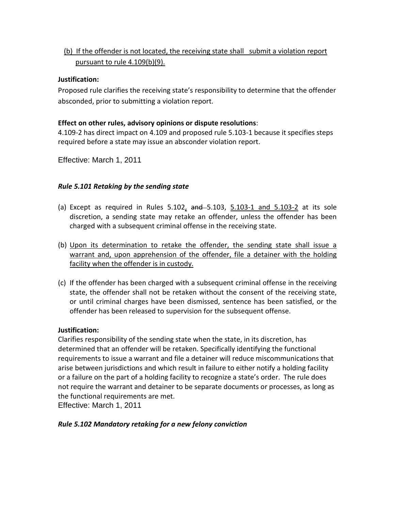# (b) If the offender is not located, the receiving state shall submit a violation report pursuant to rule 4.109(b)(9).

#### **Justification:**

Proposed rule clarifies the receiving state's responsibility to determine that the offender absconded, prior to submitting a violation report.

#### **Effect on other rules, advisory opinions or dispute resolutions**:

4.109-2 has direct impact on 4.109 and proposed rule 5.103-1 because it specifies steps required before a state may issue an absconder violation report.

Effective: March 1, 2011

# *Rule 5.101 Retaking by the sending state*

- (a) Except as required in Rules  $5.102$ ,  $and -5.103$ ,  $5.103-1$  and  $5.103-2$  at its sole discretion, a sending state may retake an offender, unless the offender has been charged with a subsequent criminal offense in the receiving state.
- (b) Upon its determination to retake the offender, the sending state shall issue a warrant and, upon apprehension of the offender, file a detainer with the holding facility when the offender is in custody.
- (c) If the offender has been charged with a subsequent criminal offense in the receiving state, the offender shall not be retaken without the consent of the receiving state, or until criminal charges have been dismissed, sentence has been satisfied, or the offender has been released to supervision for the subsequent offense.

#### **Justification:**

Clarifies responsibility of the sending state when the state, in its discretion, has determined that an offender will be retaken. Specifically identifying the functional requirements to issue a warrant and file a detainer will reduce miscommunications that arise between jurisdictions and which result in failure to either notify a holding facility or a failure on the part of a holding facility to recognize a state's order. The rule does not require the warrant and detainer to be separate documents or processes, as long as the functional requirements are met.

Effective: March 1, 2011

# *Rule 5.102 Mandatory retaking for a new felony conviction*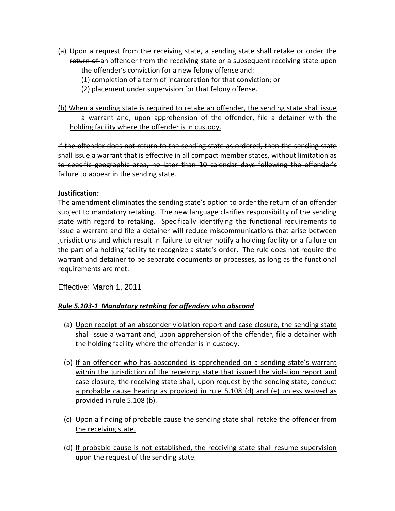- (a) Upon a request from the receiving state, a sending state shall retake or order the return of an offender from the receiving state or a subsequent receiving state upon the offender's conviction for a new felony offense and:
	- (1) completion of a term of incarceration for that conviction; or
	- (2) placement under supervision for that felony offense.

(b) When a sending state is required to retake an offender, the sending state shall issue a warrant and, upon apprehension of the offender, file a detainer with the holding facility where the offender is in custody.

If the offender does not return to the sending state as ordered, then the sending state shall issue a warrant that is effective in all compact member states, without limitation as to specific geographic area, no later than 10 calendar days following the offender's failure to appear in the sending state.

#### **Justification:**

The amendment eliminates the sending state's option to order the return of an offender subject to mandatory retaking. The new language clarifies responsibility of the sending state with regard to retaking. Specifically identifying the functional requirements to issue a warrant and file a detainer will reduce miscommunications that arise between jurisdictions and which result in failure to either notify a holding facility or a failure on the part of a holding facility to recognize a state's order. The rule does not require the warrant and detainer to be separate documents or processes, as long as the functional requirements are met.

Effective: March 1, 2011

#### *Rule 5.103-1 Mandatory retaking for offenders who abscond*

- (a) Upon receipt of an absconder violation report and case closure, the sending state shall issue a warrant and, upon apprehension of the offender, file a detainer with the holding facility where the offender is in custody.
- (b) If an offender who has absconded is apprehended on a sending state's warrant within the jurisdiction of the receiving state that issued the violation report and case closure, the receiving state shall, upon request by the sending state, conduct a probable cause hearing as provided in rule 5.108 (d) and (e) unless waived as provided in rule 5.108 (b).
- (c) Upon a finding of probable cause the sending state shall retake the offender from the receiving state.
- (d) If probable cause is not established, the receiving state shall resume supervision upon the request of the sending state.